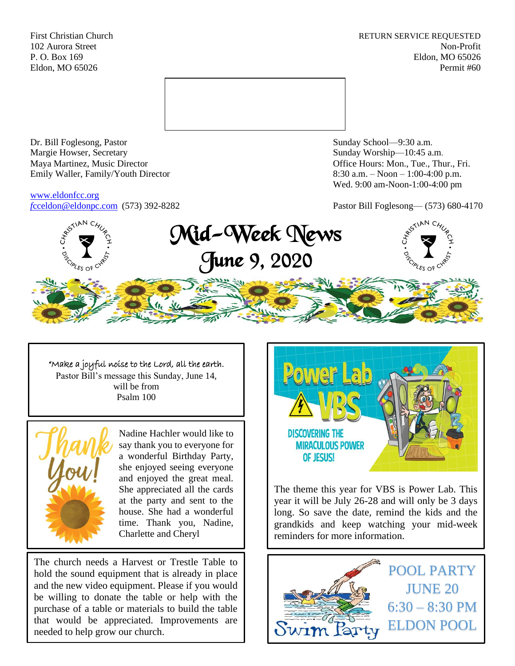First Christian Church **RETURN SERVICE REQUESTED** 102 Aurora Street Non-Profit P. O. Box 169 Eldon, MO 65026 Eldon, MO 65026 Permit #60



Dr. Bill Foglesong, Pastor Sunday School—9:30 a.m. Margie Howser, Secretary Sunday Worship—10:45 a.m. Maya Martinez, Music Director Office Hours: Mon., Tue., Thur., Fri. Emily Waller, Family/Youth Director 8:30 a.m. – Noon – 1:00-4:00 p.m.

[www.eldonfcc.org](http://www.eldonfcc.org/)

Wed. 9:00 am-Noon-1:00-4:00 pm

*f*[cceldon@eldonpc.com](mailto:fcceldon@eldonpc.com) (573) 392-8282 Pastor Bill Foglesong— (573) 680-4170



"Make a joyful noise to the Lord, all the earth. Pastor Bill's message this Sunday, June 14, will be from Psalm 100



Nadine Hachler would like to say thank you to everyone for a wonderful Birthday Party, she enjoyed seeing everyone and enjoyed the great meal. She appreciated all the cards at the party and sent to the house. She had a wonderful time. Thank you, Nadine, Charlette and Cheryl

The church needs a Harvest or Trestle Table to hold the sound equipment that is already in place and the new video equipment. Please if you would be willing to donate the table or help with the purchase of a table or materials to build the table that would be appreciated. Improvements are needed to help grow our church.



The theme this year for VBS is Power Lab. This year it will be July 26-28 and will only be 3 days long. So save the date, remind the kids and the grandkids and keep watching your mid-week reminders for more information.